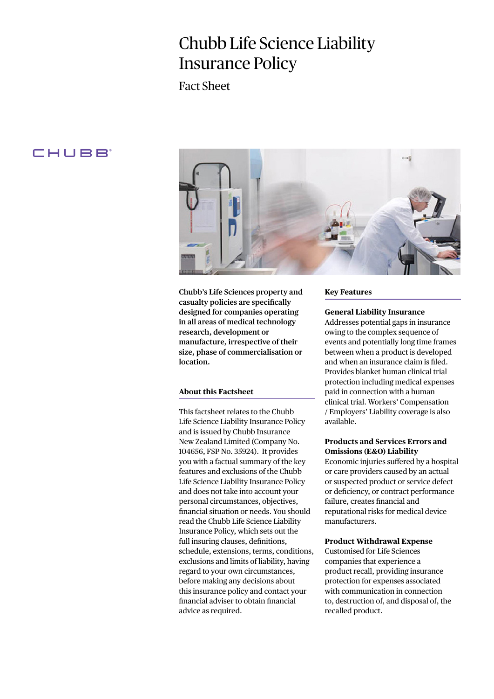# Chubb Life Science Liability Insurance Policy

Fact Sheet

# **CHUBB**



**Chubb's Life Sciences property and casualty policies are specifically designed for companies operating in all areas of medical technology research, development or manufacture, irrespective of their size, phase of commercialisation or location.**

# **About this Factsheet**

This factsheet relates to the Chubb Life Science Liability Insurance Policy and is issued by Chubb Insurance New Zealand Limited (Company No. 104656, FSP No. 35924). It provides you with a factual summary of the key features and exclusions of the Chubb Life Science Liability Insurance Policy and does not take into account your personal circumstances, objectives, financial situation or needs. You should read the Chubb Life Science Liability Insurance Policy, which sets out the full insuring clauses, definitions, schedule, extensions, terms, conditions, exclusions and limits of liability, having regard to your own circumstances, before making any decisions about this insurance policy and contact your financial adviser to obtain financial advice as required.

#### **Key Features**

# **General Liability Insurance**

Addresses potential gaps in insurance owing to the complex sequence of events and potentially long time frames between when a product is developed and when an insurance claim is filed. Provides blanket human clinical trial protection including medical expenses paid in connection with a human clinical trial. Workers' Compensation / Employers' Liability coverage is also available.

# **Products and Services Errors and Omissions (E&O) Liability**

Economic injuries suffered by a hospital or care providers caused by an actual or suspected product or service defect or deficiency, or contract performance failure, creates financial and reputational risks for medical device manufacturers.

# **Product Withdrawal Expense**

Customised for Life Sciences companies that experience a product recall, providing insurance protection for expenses associated with communication in connection to, destruction of, and disposal of, the recalled product.